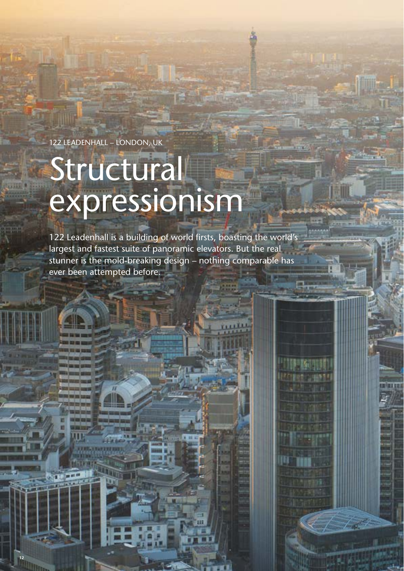122 LEADENHALL – LONDON, UK

**12**

# Structural expressionism

122 Leadenhall is a building of world firsts, boasting the world's largest and fastest suite of panoramic elevators. But the real stunner is the mold-breaking design – nothing comparable has ever been attempted before.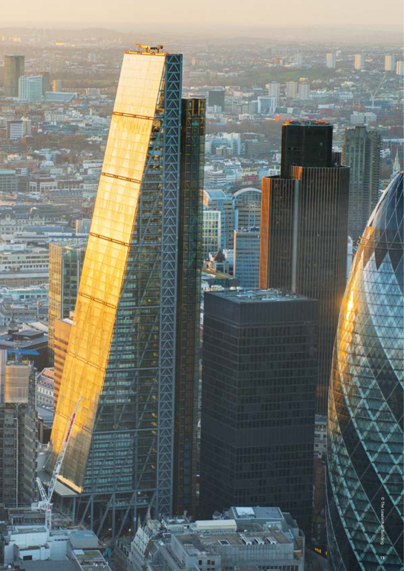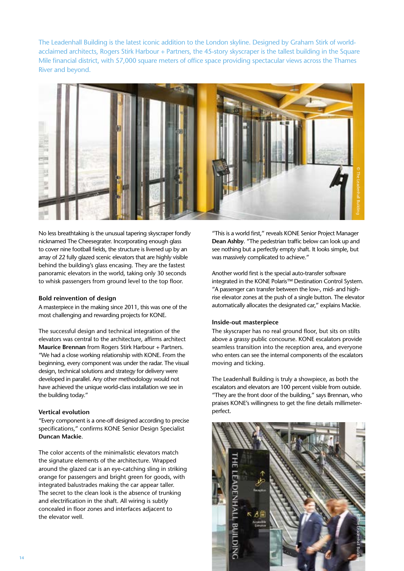The Leadenhall Building is the latest iconic addition to the London skyline. Designed by Graham Stirk of worldacclaimed architects, Rogers Stirk Harbour + Partners, the 45-story skyscraper is the tallest building in the Square Mile financial district, with 57,000 square meters of office space providing spectacular views across the Thames River and beyond.



No less breathtaking is the unusual tapering skyscraper fondly nicknamed The Cheesegrater. Incorporating enough glass to cover nine football fields, the structure is livened up by an array of 22 fully glazed scenic elevators that are highly visible behind the building's glass encasing. They are the fastest panoramic elevators in the world, taking only 30 seconds to whisk passengers from ground level to the top floor.

# **Bold reinvention of design**

A masterpiece in the making since 2011, this was one of the most challenging and rewarding projects for KONE.

The successful design and technical integration of the elevators was central to the architecture, affirms architect **Maurice Brennan** from Rogers Stirk Harbour + Partners. "We had a close working relationship with KONE. From the beginning, every component was under the radar. The visual design, technical solutions and strategy for delivery were developed in parallel. Any other methodology would not have achieved the unique world-class installation we see in the building today."

# **Vertical evolution**

"Every component is a one-off designed according to precise specifications," confirms KONE Senior Design Specialist **Duncan Mackie**.

The color accents of the minimalistic elevators match the signature elements of the architecture. Wrapped around the glazed car is an eye-catching sling in striking orange for passengers and bright green for goods, with integrated balustrades making the car appear taller. The secret to the clean look is the absence of trunking and electrification in the shaft. All wiring is subtly concealed in floor zones and interfaces adjacent to the elevator well.

"This is a world first," reveals KONE Senior Project Manager **Dean Ashby**. "The pedestrian traffic below can look up and see nothing but a perfectly empty shaft. It looks simple, but was massively complicated to achieve."

Another world first is the special auto-transfer software integrated in the KONE Polaris™ Destination Control System. "A passenger can transfer between the low-, mid- and highrise elevator zones at the push of a single button. The elevator automatically allocates the designated car," explains Mackie.

## **Inside-out masterpiece**

The skyscraper has no real ground floor, but sits on stilts above a grassy public concourse. KONE escalators provide seamless transition into the reception area, and everyone who enters can see the internal components of the escalators moving and ticking.

The Leadenhall Building is truly a showpiece, as both the escalators and elevators are 100 percent visible from outside. "They are the front door of the building," says Brennan, who praises KONE's willingness to get the fine details millimeter-